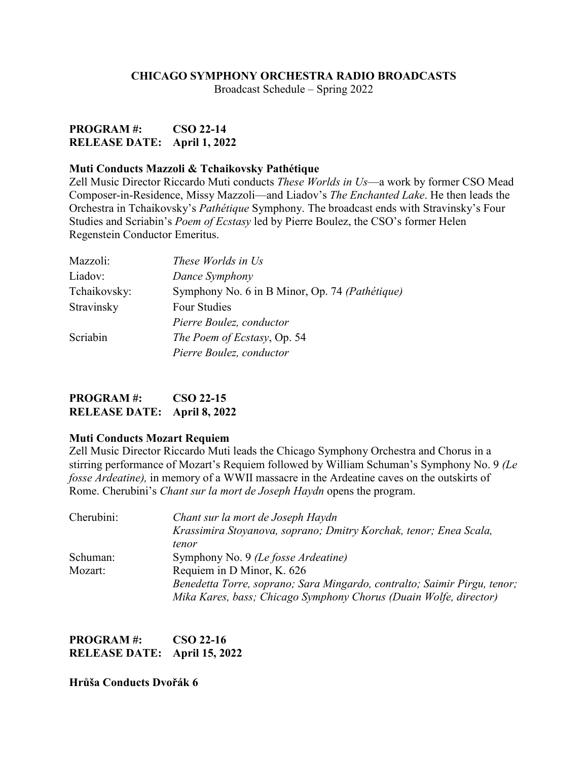#### **CHICAGO SYMPHONY ORCHESTRA RADIO BROADCASTS**

Broadcast Schedule – Spring 2022

## **PROGRAM #: CSO 22-14 RELEASE DATE: April 1, 2022**

#### **Muti Conducts Mazzoli & Tchaikovsky Pathétique**

Zell Music Director Riccardo Muti conducts *These Worlds in Us*—a work by former CSO Mead Composer-in-Residence, Missy Mazzoli—and Liadov's *The Enchanted Lake*. He then leads the Orchestra in Tchaikovsky's *Pathétique* Symphony. The broadcast ends with Stravinsky's Four Studies and Scriabin's *Poem of Ecstasy* led by Pierre Boulez, the CSO's former Helen Regenstein Conductor Emeritus.

| Mazzoli:     | These Worlds in Us                             |
|--------------|------------------------------------------------|
| Liadov:      | Dance Symphony                                 |
| Tchaikovsky: | Symphony No. 6 in B Minor, Op. 74 (Pathétique) |
| Stravinsky   | Four Studies                                   |
|              | Pierre Boulez, conductor                       |
| Scriabin     | The Poem of Ecstasy, Op. 54                    |
|              | Pierre Boulez, conductor                       |

| <b>PROGRAM#:</b>            | $\cos 22 - 15$ |
|-----------------------------|----------------|
| RELEASE DATE: April 8, 2022 |                |

#### **Muti Conducts Mozart Requiem**

Zell Music Director Riccardo Muti leads the Chicago Symphony Orchestra and Chorus in a stirring performance of Mozart's Requiem followed by William Schuman's Symphony No. 9 *(Le fosse Ardeatine),* in memory of a WWII massacre in the Ardeatine caves on the outskirts of Rome. Cherubini's *Chant sur la mort de Joseph Haydn* opens the program.

| Cherubini: | Chant sur la mort de Joseph Haydn                                        |
|------------|--------------------------------------------------------------------------|
|            | Krassimira Stoyanova, soprano; Dmitry Korchak, tenor; Enea Scala,        |
|            | tenor                                                                    |
| Schuman:   | Symphony No. 9 (Le fosse Ardeatine)                                      |
| Mozart:    | Requiem in D Minor, K. 626                                               |
|            | Benedetta Torre, soprano; Sara Mingardo, contralto; Saimir Pirgu, tenor; |
|            | Mika Kares, bass; Chicago Symphony Chorus (Duain Wolfe, director)        |

| <b>PROGRAM#:</b>             | CSO 22-16 |
|------------------------------|-----------|
| RELEASE DATE: April 15, 2022 |           |

**Hrůša Conducts Dvořák 6**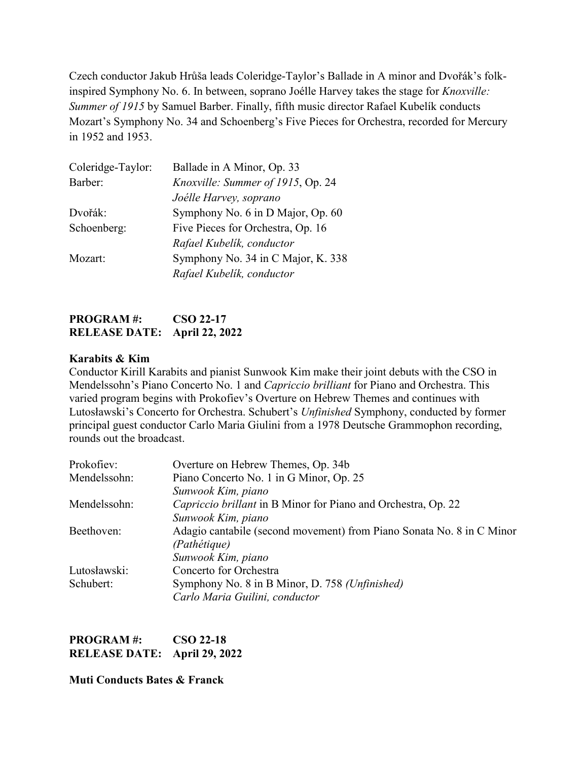Czech conductor Jakub Hrůša leads Coleridge-Taylor's Ballade in A minor and Dvořák's folkinspired Symphony No. 6. In between, soprano Joélle Harvey takes the stage for *Knoxville: Summer of 1915* by Samuel Barber. Finally, fifth music director Rafael Kubelík conducts Mozart's Symphony No. 34 and Schoenberg's Five Pieces for Orchestra, recorded for Mercury in 1952 and 1953.

| Coleridge-Taylor: | Ballade in A Minor, Op. 33         |
|-------------------|------------------------------------|
| Barber:           | Knoxville: Summer of 1915, Op. 24  |
|                   | Joélle Harvey, soprano             |
| Dvořák:           | Symphony No. 6 in D Major, Op. 60  |
| Schoenberg:       | Five Pieces for Orchestra, Op. 16  |
|                   | Rafael Kubelik, conductor          |
| Mozart:           | Symphony No. 34 in C Major, K. 338 |
|                   | Rafael Kubelik, conductor          |

# **PROGRAM #: CSO 22-17 RELEASE DATE: April 22, 2022**

#### **Karabits & Kim**

Conductor Kirill Karabits and pianist Sunwook Kim make their joint debuts with the CSO in Mendelssohn's Piano Concerto No. 1 and *Capriccio brilliant* for Piano and Orchestra. This varied program begins with Prokofiev's Overture on Hebrew Themes and continues with Lutosławski's Concerto for Orchestra. Schubert's *Unfinished* Symphony, conducted by former principal guest conductor Carlo Maria Giulini from a 1978 Deutsche Grammophon recording, rounds out the broadcast.

| Prokofiev:   | Overture on Hebrew Themes, Op. 34b                                    |
|--------------|-----------------------------------------------------------------------|
| Mendelssohn: | Piano Concerto No. 1 in G Minor, Op. 25                               |
|              | Sunwook Kim, piano                                                    |
| Mendelssohn: | Capriccio brillant in B Minor for Piano and Orchestra, Op. 22         |
|              | Sunwook Kim, piano                                                    |
| Beethoven:   | Adagio cantabile (second movement) from Piano Sonata No. 8 in C Minor |
|              | (Pathétique)                                                          |
|              | Sunwook Kim, piano                                                    |
| Lutosławski: | Concerto for Orchestra                                                |
| Schubert:    | Symphony No. 8 in B Minor, D. 758 (Unfinished)                        |
|              | Carlo Maria Guilini, conductor                                        |

| <b>PROGRAM#:</b>             | <b>CSO 22-18</b> |
|------------------------------|------------------|
| RELEASE DATE: April 29, 2022 |                  |

#### **Muti Conducts Bates & Franck**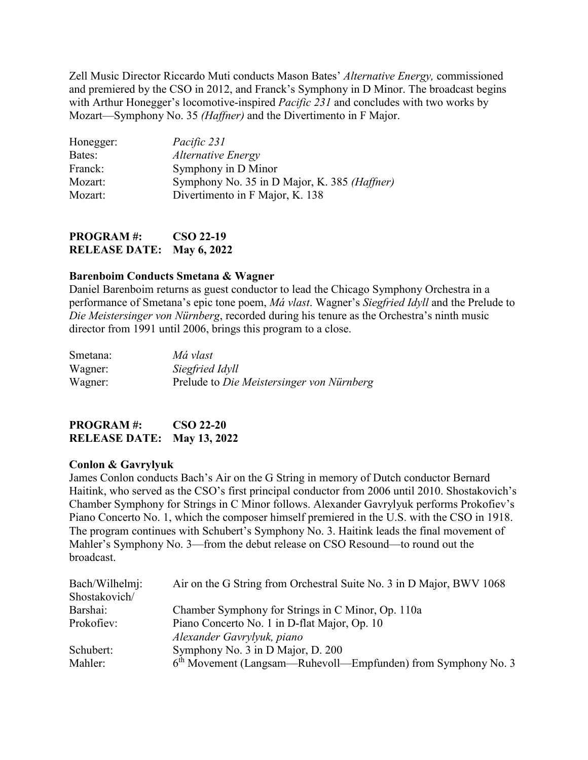Zell Music Director Riccardo Muti conducts Mason Bates' *Alternative Energy,* commissioned and premiered by the CSO in 2012, and Franck's Symphony in D Minor. The broadcast begins with Arthur Honegger's locomotive-inspired *Pacific 231* and concludes with two works by Mozart—Symphony No. 35 *(Haffner)* and the Divertimento in F Major.

| Pacific 231                                  |
|----------------------------------------------|
| Alternative Energy                           |
| Symphony in D Minor                          |
| Symphony No. 35 in D Major, K. 385 (Haffner) |
| Divertimento in F Major, K. 138              |
|                                              |

**PROGRAM #: CSO 22-19 RELEASE DATE: May 6, 2022**

### **Barenboim Conducts Smetana & Wagner**

Daniel Barenboim returns as guest conductor to lead the Chicago Symphony Orchestra in a performance of Smetana's epic tone poem, *Má vlast*. Wagner's *Siegfried Idyll* and the Prelude to *Die Meistersinger von Nürnberg*, recorded during his tenure as the Orchestra's ninth music director from 1991 until 2006, brings this program to a close.

| Smetana: | Má vlast                                  |
|----------|-------------------------------------------|
| Wagner:  | Siegfried Idyll                           |
| Wagner:  | Prelude to Die Meistersinger von Nürnberg |

**PROGRAM #: CSO 22-20 RELEASE DATE: May 13, 2022**

#### **Conlon & Gavrylyuk**

James Conlon conducts Bach's Air on the G String in memory of Dutch conductor Bernard Haitink, who served as the CSO's first principal conductor from 2006 until 2010. Shostakovich's Chamber Symphony for Strings in C Minor follows. Alexander Gavrylyuk performs Prokofiev's Piano Concerto No. 1, which the composer himself premiered in the U.S. with the CSO in 1918. The program continues with Schubert's Symphony No. 3. Haitink leads the final movement of Mahler's Symphony No. 3—from the debut release on CSO Resound—to round out the broadcast.

| Bach/Wilhelmj: | Air on the G String from Orchestral Suite No. 3 in D Major, BWV 1068 |  |
|----------------|----------------------------------------------------------------------|--|
| Shostakovich/  |                                                                      |  |
| Barshai:       | Chamber Symphony for Strings in C Minor, Op. 110a                    |  |
| Prokofiev:     | Piano Concerto No. 1 in D-flat Major, Op. 10                         |  |
|                | Alexander Gavrylyuk, piano                                           |  |
| Schubert:      | Symphony No. 3 in D Major, D. 200                                    |  |
| Mahler:        | $6th$ Movement (Langsam—Ruhevoll—Empfunden) from Symphony No. 3      |  |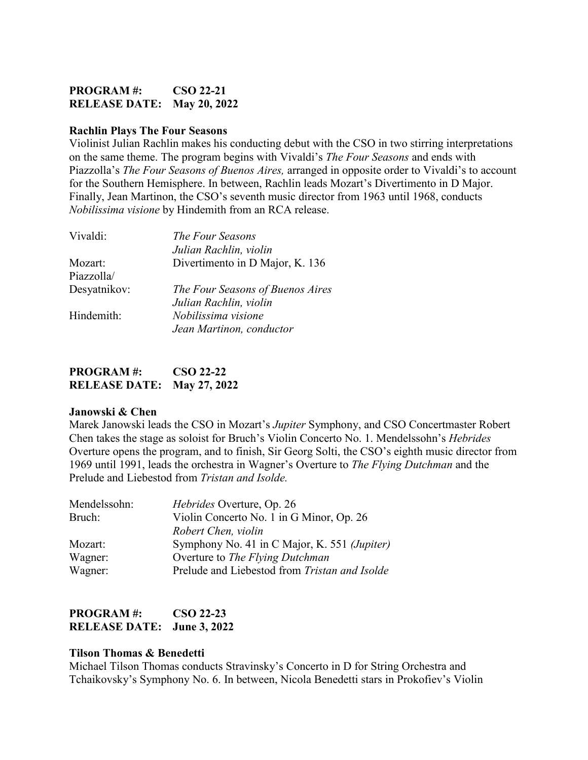## **PROGRAM #: CSO 22-21 RELEASE DATE: May 20, 2022**

#### **Rachlin Plays The Four Seasons**

Violinist Julian Rachlin makes his conducting debut with the CSO in two stirring interpretations on the same theme. The program begins with Vivaldi's *The Four Seasons* and ends with Piazzolla's *The Four Seasons of Buenos Aires,* arranged in opposite order to Vivaldi's to account for the Southern Hemisphere. In between, Rachlin leads Mozart's Divertimento in D Major. Finally, Jean Martinon, the CSO's seventh music director from 1963 until 1968, conducts *Nobilissima visione* by Hindemith from an RCA release.

| Vivaldi:     | The Four Seasons                 |
|--------------|----------------------------------|
|              | Julian Rachlin, violin           |
| Mozart:      | Divertimento in D Major, K. 136  |
| Piazzolla/   |                                  |
| Desyatnikov: | The Four Seasons of Buenos Aires |
|              | Julian Rachlin, violin           |
| Hindemith:   | Nobilissima visione              |
|              | Jean Martinon, conductor         |
|              |                                  |

| <b>PROGRAM#:</b>                  | <b>CSO 22-22</b> |
|-----------------------------------|------------------|
| <b>RELEASE DATE: May 27, 2022</b> |                  |

#### **Janowski & Chen**

Marek Janowski leads the CSO in Mozart's *Jupiter* Symphony, and CSO Concertmaster Robert Chen takes the stage as soloist for Bruch's Violin Concerto No. 1. Mendelssohn's *Hebrides* Overture opens the program, and to finish, Sir Georg Solti, the CSO's eighth music director from 1969 until 1991, leads the orchestra in Wagner's Overture to *The Flying Dutchman* and the Prelude and Liebestod from *Tristan and Isolde.*

| Mendelssohn: | Hebrides Overture, Op. 26                     |
|--------------|-----------------------------------------------|
| Bruch:       | Violin Concerto No. 1 in G Minor, Op. 26      |
|              | Robert Chen, violin                           |
| Mozart:      | Symphony No. 41 in C Major, K. 551 (Jupiter)  |
| Wagner:      | Overture to The Flying Dutchman               |
| Wagner:      | Prelude and Liebestod from Tristan and Isolde |

### **PROGRAM #: CSO 22-23 RELEASE DATE: June 3, 2022**

#### **Tilson Thomas & Benedetti**

Michael Tilson Thomas conducts Stravinsky's Concerto in D for String Orchestra and Tchaikovsky's Symphony No. 6. In between, Nicola Benedetti stars in Prokofiev's Violin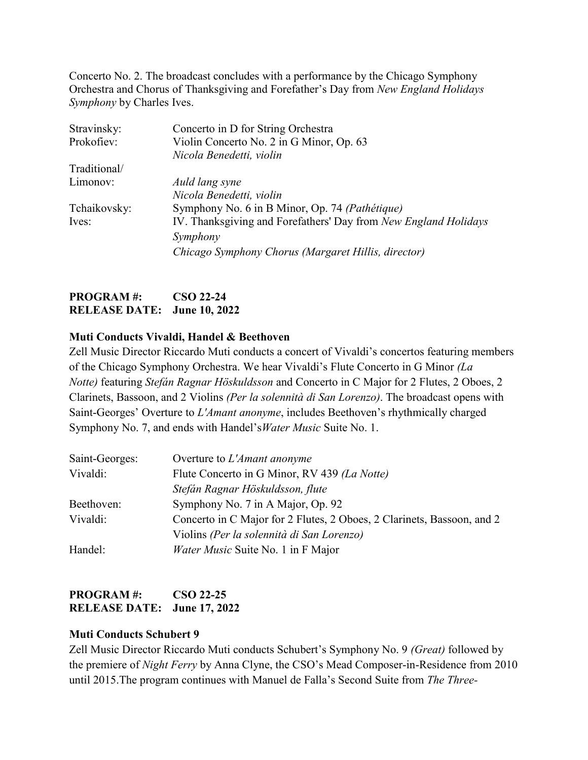Concerto No. 2. The broadcast concludes with a performance by the Chicago Symphony Orchestra and Chorus of Thanksgiving and Forefather's Day from *New England Holidays Symphony* by Charles Ives.

| Stravinsky:  | Concerto in D for String Orchestra                              |
|--------------|-----------------------------------------------------------------|
| Prokofiev:   | Violin Concerto No. 2 in G Minor, Op. 63                        |
|              | Nicola Benedetti, violin                                        |
| Traditional/ |                                                                 |
| Limonov:     | Auld lang syne                                                  |
|              | Nicola Benedetti, violin                                        |
| Tchaikovsky: | Symphony No. 6 in B Minor, Op. 74 (Pathétique)                  |
| Ives:        | IV. Thanksgiving and Forefathers' Day from New England Holidays |
|              | Symphony                                                        |
|              | Chicago Symphony Chorus (Margaret Hillis, director)             |

### **PROGRAM #: CSO 22-24 RELEASE DATE: June 10, 2022**

### **Muti Conducts Vivaldi, Handel & Beethoven**

Zell Music Director Riccardo Muti conducts a concert of Vivaldi's concertos featuring members of the Chicago Symphony Orchestra. We hear Vivaldi's Flute Concerto in G Minor *(La Notte)* featuring *Stefán Ragnar Höskuldsson* and Concerto in C Major for 2 Flutes, 2 Oboes, 2 Clarinets, Bassoon, and 2 Violins *(Per la solennità di San Lorenzo)*. The broadcast opens with Saint-Georges' Overture to *L'Amant anonyme*, includes Beethoven's rhythmically charged Symphony No. 7, and ends with Handel's*Water Music* Suite No. 1.

| Saint-Georges: | Overture to L'Amant anonyme                                            |
|----------------|------------------------------------------------------------------------|
| Vivaldi:       | Flute Concerto in G Minor, RV 439 (La Notte)                           |
|                | Stefán Ragnar Höskuldsson, flute                                       |
| Beethoven:     | Symphony No. 7 in A Major, Op. 92                                      |
| Vivaldi:       | Concerto in C Major for 2 Flutes, 2 Oboes, 2 Clarinets, Bassoon, and 2 |
|                | Violins (Per la solennità di San Lorenzo)                              |
| Handel:        | Water Music Suite No. 1 in F Major                                     |

## **PROGRAM #: CSO 22-25 RELEASE DATE: June 17, 2022**

#### **Muti Conducts Schubert 9**

Zell Music Director Riccardo Muti conducts Schubert's Symphony No. 9 *(Great)* followed by the premiere of *Night Ferry* by Anna Clyne, the CSO's Mead Composer-in-Residence from 2010 until 2015.The program continues with Manuel de Falla's Second Suite from *The Three-*